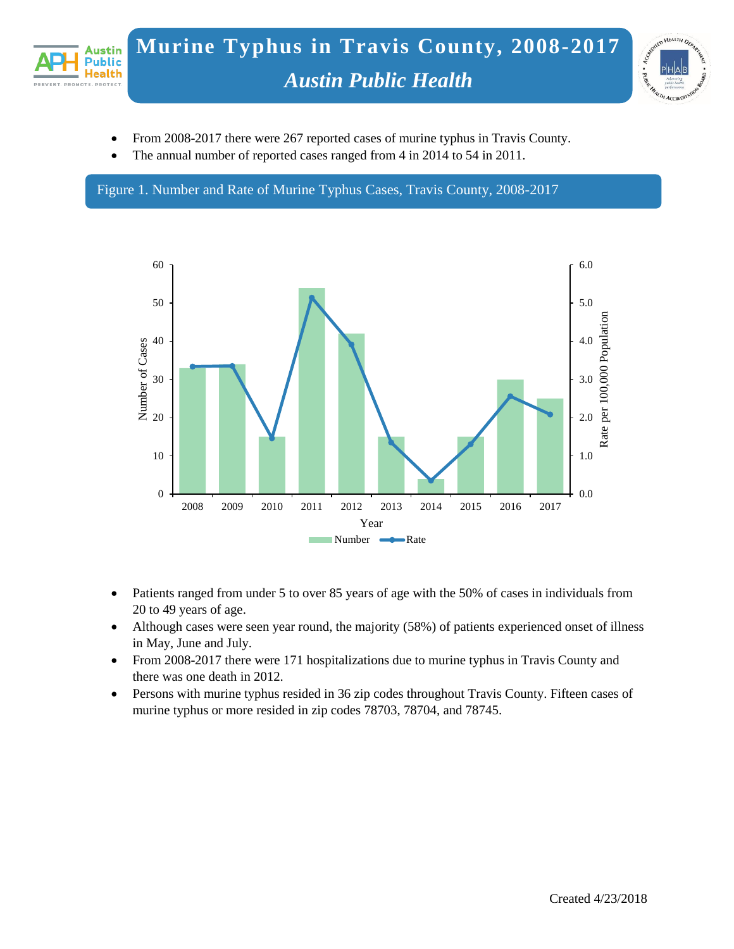



- From 2008-2017 there were 267 reported cases of murine typhus in Travis County.
- The annual number of reported cases ranged from 4 in 2014 to 54 in 2011.

Figure 1. Number and Rate of Murine Typhus Cases, Travis County, 2008-2017



- Patients ranged from under 5 to over 85 years of age with the 50% of cases in individuals from 20 to 49 years of age.
- Although cases were seen year round, the majority (58%) of patients experienced onset of illness in May, June and July.
- From 2008-2017 there were 171 hospitalizations due to murine typhus in Travis County and there was one death in 2012.
- Persons with murine typhus resided in 36 zip codes throughout Travis County. Fifteen cases of murine typhus or more resided in zip codes 78703, 78704, and 78745.